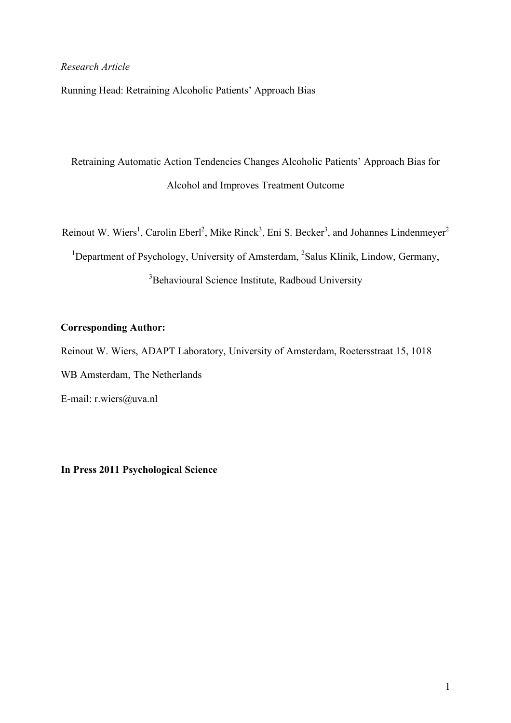### *Research Article*

Running Head: Retraining Alcoholic Patients' Approach Bias

Retraining Automatic Action Tendencies Changes Alcoholic Patients' Approach Bias for Alcohol and Improves Treatment Outcome

Reinout W. Wiers<sup>1</sup>, Carolin Eberl<sup>2</sup>, Mike Rinck<sup>3</sup>, Eni S. Becker<sup>3</sup>, and Johannes Lindenmeyer<sup>2</sup>

<sup>1</sup>Department of Psychology, University of Amsterdam, <sup>2</sup>Salus Klinik, Lindow, Germany, <sup>3</sup>Behavioural Science Institute, Radboud University

### **Corresponding Author:**

Reinout W. Wiers, ADAPT Laboratory, University of Amsterdam, Roetersstraat 15, 1018

WB Amsterdam, The Netherlands

E-mail: r.wiers@uva.nl

**In Press 2011 Psychological Science**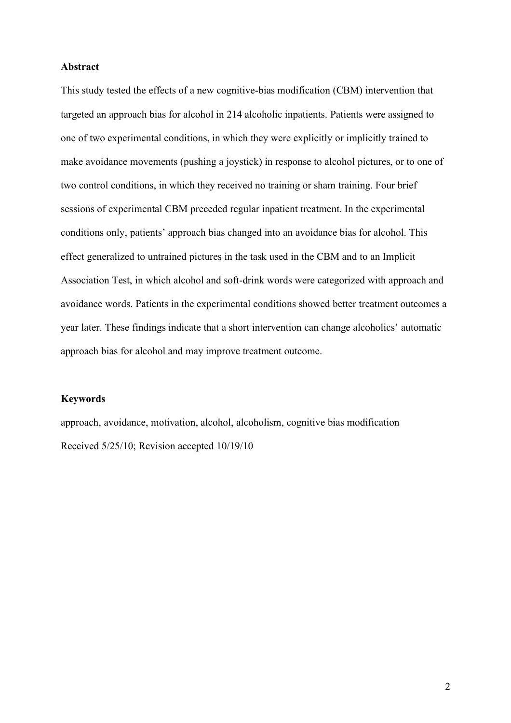### **Abstract**

This study tested the effects of a new cognitive-bias modification (CBM) intervention that targeted an approach bias for alcohol in 214 alcoholic inpatients. Patients were assigned to one of two experimental conditions, in which they were explicitly or implicitly trained to make avoidance movements (pushing a joystick) in response to alcohol pictures, or to one of two control conditions, in which they received no training or sham training. Four brief sessions of experimental CBM preceded regular inpatient treatment. In the experimental conditions only, patients' approach bias changed into an avoidance bias for alcohol. This effect generalized to untrained pictures in the task used in the CBM and to an Implicit Association Test, in which alcohol and soft-drink words were categorized with approach and avoidance words. Patients in the experimental conditions showed better treatment outcomes a year later. These findings indicate that a short intervention can change alcoholics' automatic approach bias for alcohol and may improve treatment outcome.

### **Keywords**

approach, avoidance, motivation, alcohol, alcoholism, cognitive bias modification Received 5/25/10; Revision accepted 10/19/10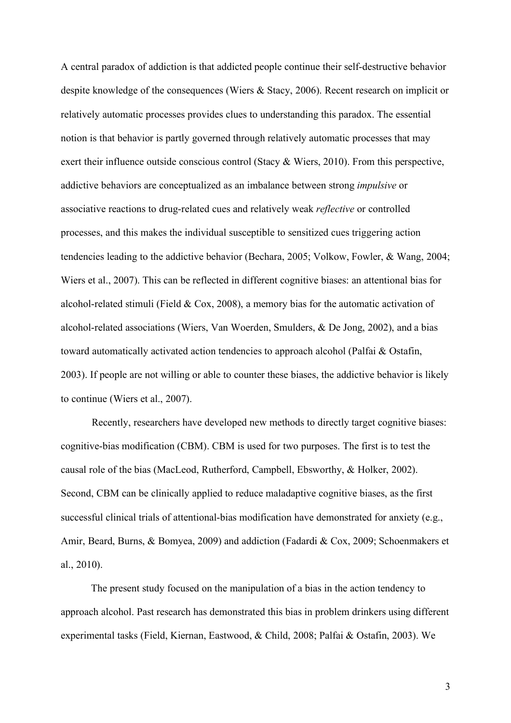A central paradox of addiction is that addicted people continue their self-destructive behavior despite knowledge of the consequences (Wiers & Stacy, 2006). Recent research on implicit or relatively automatic processes provides clues to understanding this paradox. The essential notion is that behavior is partly governed through relatively automatic processes that may exert their influence outside conscious control (Stacy & Wiers, 2010). From this perspective, addictive behaviors are conceptualized as an imbalance between strong *impulsive* or associative reactions to drug-related cues and relatively weak *reflective* or controlled processes, and this makes the individual susceptible to sensitized cues triggering action tendencies leading to the addictive behavior (Bechara, 2005; Volkow, Fowler, & Wang, 2004; Wiers et al., 2007). This can be reflected in different cognitive biases: an attentional bias for alcohol-related stimuli (Field  $& Cox, 2008$ ), a memory bias for the automatic activation of alcohol-related associations (Wiers, Van Woerden, Smulders, & De Jong, 2002), and a bias toward automatically activated action tendencies to approach alcohol (Palfai & Ostafin, 2003). If people are not willing or able to counter these biases, the addictive behavior is likely to continue (Wiers et al., 2007).

Recently, researchers have developed new methods to directly target cognitive biases: cognitive-bias modification (CBM). CBM is used for two purposes. The first is to test the causal role of the bias (MacLeod, Rutherford, Campbell, Ebsworthy, & Holker, 2002). Second, CBM can be clinically applied to reduce maladaptive cognitive biases, as the first successful clinical trials of attentional-bias modification have demonstrated for anxiety (e.g., Amir, Beard, Burns, & Bomyea, 2009) and addiction (Fadardi & Cox, 2009; Schoenmakers et al., 2010).

The present study focused on the manipulation of a bias in the action tendency to approach alcohol. Past research has demonstrated this bias in problem drinkers using different experimental tasks (Field, Kiernan, Eastwood, & Child, 2008; Palfai & Ostafin, 2003). We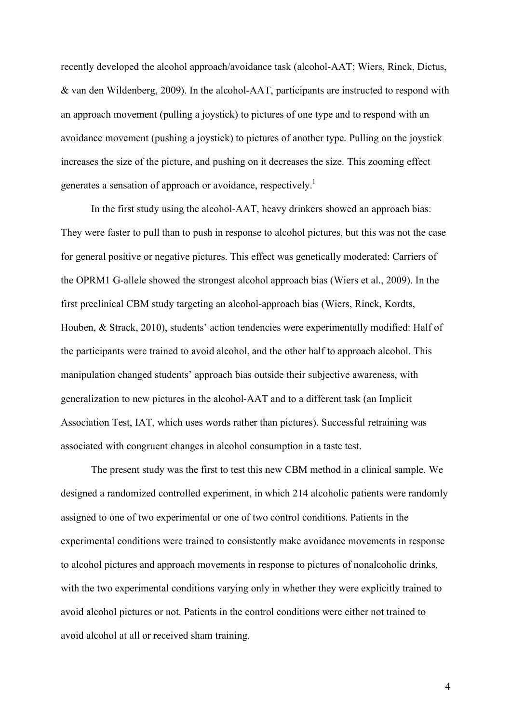recently developed the alcohol approach/avoidance task (alcohol-AAT; Wiers, Rinck, Dictus, & van den Wildenberg, 2009). In the alcohol-AAT, participants are instructed to respond with an approach movement (pulling a joystick) to pictures of one type and to respond with an avoidance movement (pushing a joystick) to pictures of another type. Pulling on the joystick increases the size of the picture, and pushing on it decreases the size. This zooming effect generates a sensation of approach or avoidance, respectively.<sup>1</sup>

In the first study using the alcohol-AAT, heavy drinkers showed an approach bias: They were faster to pull than to push in response to alcohol pictures, but this was not the case for general positive or negative pictures. This effect was genetically moderated: Carriers of the OPRM1 G-allele showed the strongest alcohol approach bias (Wiers et al., 2009). In the first preclinical CBM study targeting an alcohol-approach bias (Wiers, Rinck, Kordts, Houben, & Strack, 2010), students' action tendencies were experimentally modified: Half of the participants were trained to avoid alcohol, and the other half to approach alcohol. This manipulation changed students' approach bias outside their subjective awareness, with generalization to new pictures in the alcohol-AAT and to a different task (an Implicit Association Test, IAT, which uses words rather than pictures). Successful retraining was associated with congruent changes in alcohol consumption in a taste test.

The present study was the first to test this new CBM method in a clinical sample. We designed a randomized controlled experiment, in which 214 alcoholic patients were randomly assigned to one of two experimental or one of two control conditions. Patients in the experimental conditions were trained to consistently make avoidance movements in response to alcohol pictures and approach movements in response to pictures of nonalcoholic drinks, with the two experimental conditions varying only in whether they were explicitly trained to avoid alcohol pictures or not. Patients in the control conditions were either not trained to avoid alcohol at all or received sham training.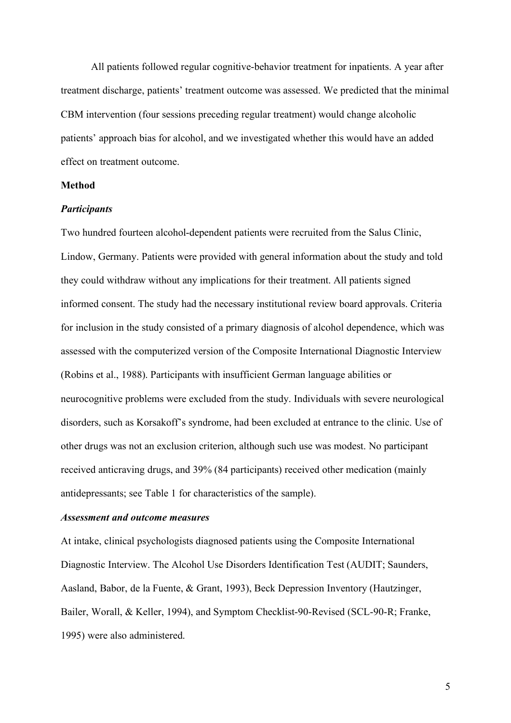All patients followed regular cognitive-behavior treatment for inpatients. A year after treatment discharge, patients' treatment outcome was assessed. We predicted that the minimal CBM intervention (four sessions preceding regular treatment) would change alcoholic patients' approach bias for alcohol, and we investigated whether this would have an added effect on treatment outcome.

#### **Method**

### *Participants*

Two hundred fourteen alcohol-dependent patients were recruited from the Salus Clinic, Lindow, Germany. Patients were provided with general information about the study and told they could withdraw without any implications for their treatment. All patients signed informed consent. The study had the necessary institutional review board approvals. Criteria for inclusion in the study consisted of a primary diagnosis of alcohol dependence, which was assessed with the computerized version of the Composite International Diagnostic Interview (Robins et al., 1988). Participants with insufficient German language abilities or neurocognitive problems were excluded from the study. Individuals with severe neurological disorders, such as Korsakoff's syndrome, had been excluded at entrance to the clinic. Use of other drugs was not an exclusion criterion, although such use was modest. No participant received anticraving drugs, and 39% (84 participants) received other medication (mainly antidepressants; see Table 1 for characteristics of the sample).

### *Assessment and outcome measures*

At intake, clinical psychologists diagnosed patients using the Composite International Diagnostic Interview. The Alcohol Use Disorders Identification Test (AUDIT; Saunders, Aasland, Babor, de la Fuente, & Grant, 1993), Beck Depression Inventory (Hautzinger, Bailer, Worall, & Keller, 1994), and Symptom Checklist-90-Revised (SCL-90-R; Franke, 1995) were also administered.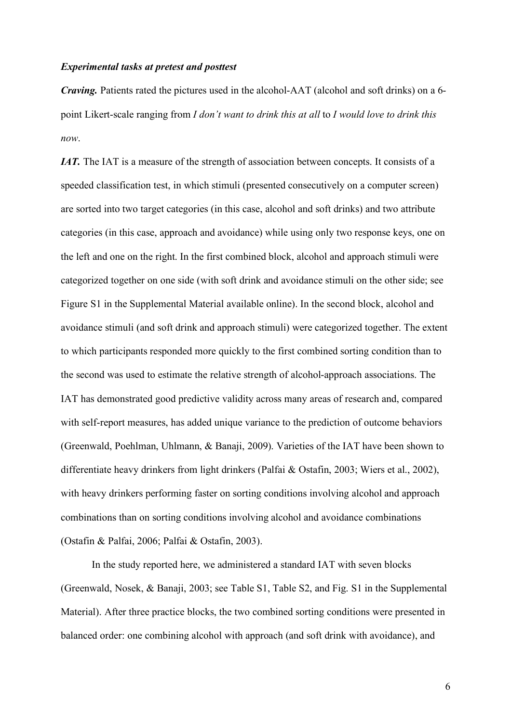#### *Experimental tasks at pretest and posttest*

*Craving.* Patients rated the pictures used in the alcohol-AAT (alcohol and soft drinks) on a 6 point Likert-scale ranging from *I don't want to drink this at all* to *I would love to drink this now*.

*IAT.* The IAT is a measure of the strength of association between concepts. It consists of a speeded classification test, in which stimuli (presented consecutively on a computer screen) are sorted into two target categories (in this case, alcohol and soft drinks) and two attribute categories (in this case, approach and avoidance) while using only two response keys, one on the left and one on the right. In the first combined block, alcohol and approach stimuli were categorized together on one side (with soft drink and avoidance stimuli on the other side; see Figure S1 in the Supplemental Material available online). In the second block, alcohol and avoidance stimuli (and soft drink and approach stimuli) were categorized together. The extent to which participants responded more quickly to the first combined sorting condition than to the second was used to estimate the relative strength of alcohol-approach associations. The IAT has demonstrated good predictive validity across many areas of research and, compared with self-report measures, has added unique variance to the prediction of outcome behaviors (Greenwald, Poehlman, Uhlmann, & Banaji, 2009). Varieties of the IAT have been shown to differentiate heavy drinkers from light drinkers (Palfai & Ostafin, 2003; Wiers et al., 2002), with heavy drinkers performing faster on sorting conditions involving alcohol and approach combinations than on sorting conditions involving alcohol and avoidance combinations (Ostafin & Palfai, 2006; Palfai & Ostafin, 2003).

In the study reported here, we administered a standard IAT with seven blocks (Greenwald, Nosek, & Banaji, 2003; see Table S1, Table S2, and Fig. S1 in the Supplemental Material). After three practice blocks, the two combined sorting conditions were presented in balanced order: one combining alcohol with approach (and soft drink with avoidance), and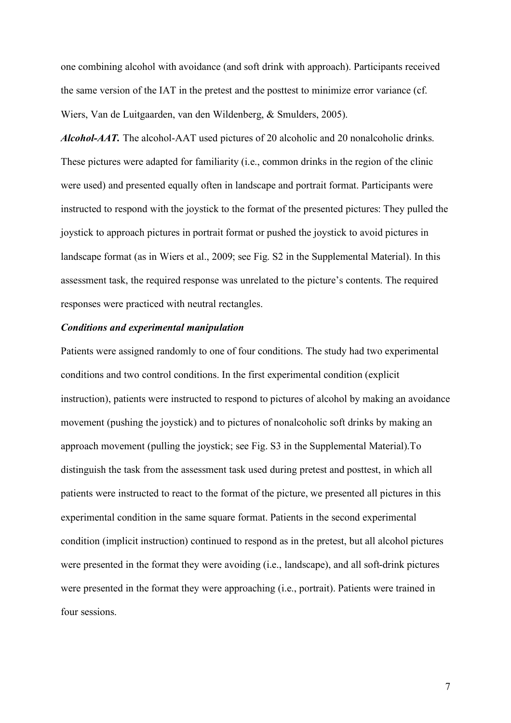one combining alcohol with avoidance (and soft drink with approach). Participants received the same version of the IAT in the pretest and the posttest to minimize error variance (cf. Wiers, Van de Luitgaarden, van den Wildenberg, & Smulders, 2005).

*Alcohol-AAT.* The alcohol-AAT used pictures of 20 alcoholic and 20 nonalcoholic drinks. These pictures were adapted for familiarity (i.e., common drinks in the region of the clinic were used) and presented equally often in landscape and portrait format. Participants were instructed to respond with the joystick to the format of the presented pictures: They pulled the joystick to approach pictures in portrait format or pushed the joystick to avoid pictures in landscape format (as in Wiers et al., 2009; see Fig. S2 in the Supplemental Material). In this assessment task, the required response was unrelated to the picture's contents. The required responses were practiced with neutral rectangles.

### *Conditions and experimental manipulation*

Patients were assigned randomly to one of four conditions. The study had two experimental conditions and two control conditions. In the first experimental condition (explicit instruction), patients were instructed to respond to pictures of alcohol by making an avoidance movement (pushing the joystick) and to pictures of nonalcoholic soft drinks by making an approach movement (pulling the joystick; see Fig. S3 in the Supplemental Material).To distinguish the task from the assessment task used during pretest and posttest, in which all patients were instructed to react to the format of the picture, we presented all pictures in this experimental condition in the same square format. Patients in the second experimental condition (implicit instruction) continued to respond as in the pretest, but all alcohol pictures were presented in the format they were avoiding (i.e., landscape), and all soft-drink pictures were presented in the format they were approaching (i.e., portrait). Patients were trained in four sessions.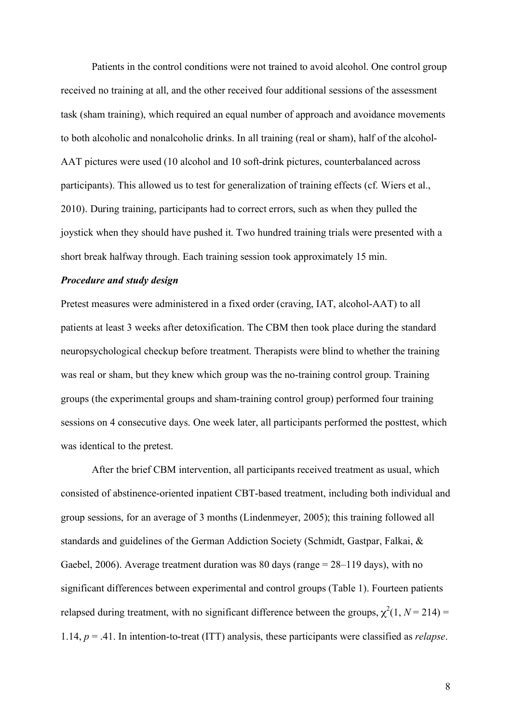Patients in the control conditions were not trained to avoid alcohol. One control group received no training at all, and the other received four additional sessions of the assessment task (sham training), which required an equal number of approach and avoidance movements to both alcoholic and nonalcoholic drinks. In all training (real or sham), half of the alcohol-AAT pictures were used (10 alcohol and 10 soft-drink pictures, counterbalanced across participants). This allowed us to test for generalization of training effects (cf. Wiers et al., 2010). During training, participants had to correct errors, such as when they pulled the joystick when they should have pushed it. Two hundred training trials were presented with a short break halfway through. Each training session took approximately 15 min.

#### *Procedure and study design*

Pretest measures were administered in a fixed order (craving, IAT, alcohol-AAT) to all patients at least 3 weeks after detoxification. The CBM then took place during the standard neuropsychological checkup before treatment. Therapists were blind to whether the training was real or sham, but they knew which group was the no-training control group. Training groups (the experimental groups and sham-training control group) performed four training sessions on 4 consecutive days. One week later, all participants performed the posttest, which was identical to the pretest.

After the brief CBM intervention, all participants received treatment as usual, which consisted of abstinence-oriented inpatient CBT-based treatment, including both individual and group sessions, for an average of 3 months (Lindenmeyer, 2005); this training followed all standards and guidelines of the German Addiction Society (Schmidt, Gastpar, Falkai, & Gaebel, 2006). Average treatment duration was 80 days (range = 28–119 days), with no significant differences between experimental and control groups (Table 1). Fourteen patients relapsed during treatment, with no significant difference between the groups,  $\chi^2(1, N = 214)$  = 1.14, *p* = .41. In intention-to-treat (ITT) analysis, these participants were classified as *relapse*.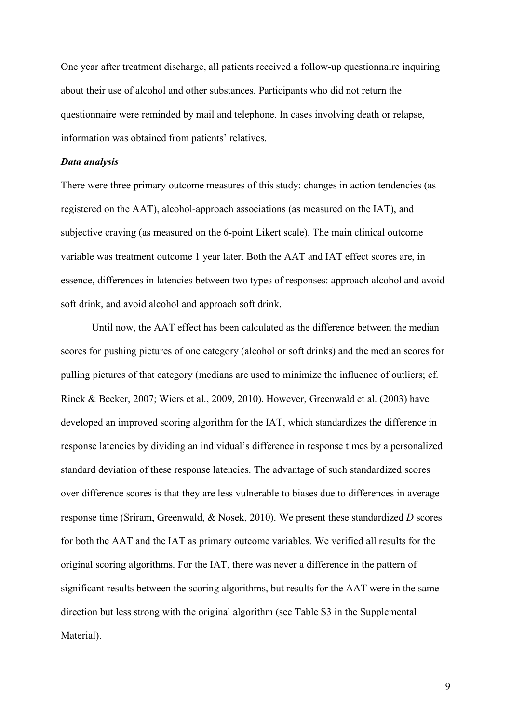One year after treatment discharge, all patients received a follow-up questionnaire inquiring about their use of alcohol and other substances. Participants who did not return the questionnaire were reminded by mail and telephone. In cases involving death or relapse, information was obtained from patients' relatives.

#### *Data analysis*

There were three primary outcome measures of this study: changes in action tendencies (as registered on the AAT), alcohol-approach associations (as measured on the IAT), and subjective craving (as measured on the 6-point Likert scale). The main clinical outcome variable was treatment outcome 1 year later. Both the AAT and IAT effect scores are, in essence, differences in latencies between two types of responses: approach alcohol and avoid soft drink, and avoid alcohol and approach soft drink.

Until now, the AAT effect has been calculated as the difference between the median scores for pushing pictures of one category (alcohol or soft drinks) and the median scores for pulling pictures of that category (medians are used to minimize the influence of outliers; cf. Rinck & Becker, 2007; Wiers et al., 2009, 2010). However, Greenwald et al. (2003) have developed an improved scoring algorithm for the IAT, which standardizes the difference in response latencies by dividing an individual's difference in response times by a personalized standard deviation of these response latencies. The advantage of such standardized scores over difference scores is that they are less vulnerable to biases due to differences in average response time (Sriram, Greenwald, & Nosek, 2010). We present these standardized *D* scores for both the AAT and the IAT as primary outcome variables. We verified all results for the original scoring algorithms. For the IAT, there was never a difference in the pattern of significant results between the scoring algorithms, but results for the AAT were in the same direction but less strong with the original algorithm (see Table S3 in the Supplemental Material).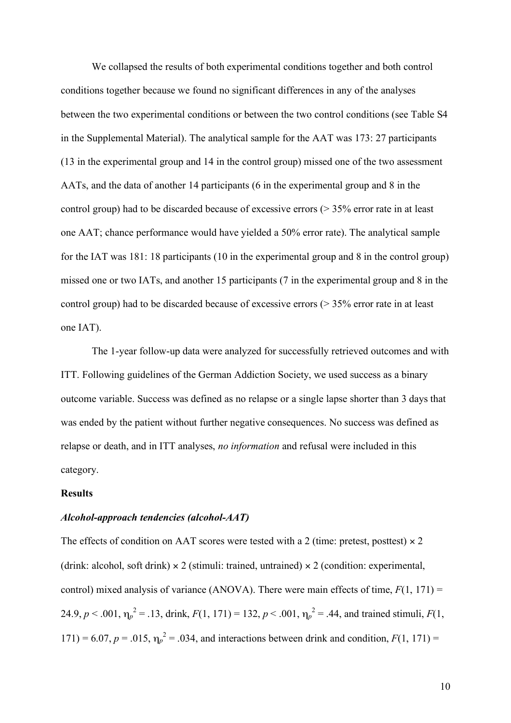We collapsed the results of both experimental conditions together and both control conditions together because we found no significant differences in any of the analyses between the two experimental conditions or between the two control conditions (see Table S4 in the Supplemental Material). The analytical sample for the AAT was 173: 27 participants (13 in the experimental group and 14 in the control group) missed one of the two assessment AATs, and the data of another 14 participants (6 in the experimental group and 8 in the control group) had to be discarded because of excessive errors (> 35% error rate in at least one AAT; chance performance would have yielded a 50% error rate). The analytical sample for the IAT was 181: 18 participants (10 in the experimental group and 8 in the control group) missed one or two IATs, and another 15 participants (7 in the experimental group and 8 in the control group) had to be discarded because of excessive errors (> 35% error rate in at least one IAT).

The 1-year follow-up data were analyzed for successfully retrieved outcomes and with ITT. Following guidelines of the German Addiction Society, we used success as a binary outcome variable. Success was defined as no relapse or a single lapse shorter than 3 days that was ended by the patient without further negative consequences. No success was defined as relapse or death, and in ITT analyses, *no information* and refusal were included in this category.

#### **Results**

#### *Alcohol-approach tendencies (alcohol-AAT)*

The effects of condition on AAT scores were tested with a 2 (time: pretest, posttest)  $\times$  2 (drink: alcohol, soft drink)  $\times$  2 (stimuli: trained, untrained)  $\times$  2 (condition: experimental, control) mixed analysis of variance (ANOVA). There were main effects of time,  $F(1, 171) =$ 24.9,  $p < .001$ ,  $\eta_p^2 = .13$ , drink,  $F(1, 171) = 132$ ,  $p < .001$ ,  $\eta_p^2 = .44$ , and trained stimuli,  $F(1, 171) = .001$ 171) = 6.07,  $p = .015$ ,  $\eta_p^2 = .034$ , and interactions between drink and condition,  $F(1, 171) =$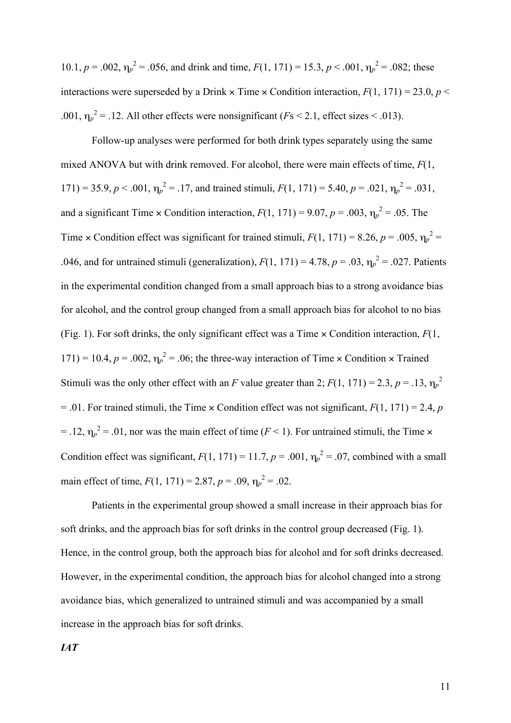10.1,  $p = .002$ ,  $\eta_p^2 = .056$ , and drink and time,  $F(1, 171) = 15.3$ ,  $p < .001$ ,  $\eta_p^2 = .082$ ; these interactions were superseded by a Drink  $\times$  Time  $\times$  Condition interaction,  $F(1, 171) = 23.0, p \le$ .001,  $\eta_p^2$  = .12. All other effects were nonsignificant (*Fs* < 2.1, effect sizes < .013).

Follow-up analyses were performed for both drink types separately using the same mixed ANOVA but with drink removed. For alcohol, there were main effects of time, *F*(1, 171) = 35.9,  $p < .001$ ,  $\eta_p^2 = .17$ , and trained stimuli,  $F(1, 171) = 5.40$ ,  $p = .021$ ,  $\eta_p^2 = .031$ , and a significant Time  $\times$  Condition interaction,  $F(1, 171) = 9.07$ ,  $p = .003$ ,  $\eta_p^2 = .05$ . The Time  $\times$  Condition effect was significant for trained stimuli,  $F(1, 171) = 8.26$ ,  $p = .005$ ,  $\eta_p^2 =$ .046, and for untrained stimuli (generalization),  $F(1, 171) = 4.78$ ,  $p = .03$ ,  $\eta_p^2 = .027$ . Patients in the experimental condition changed from a small approach bias to a strong avoidance bias for alcohol, and the control group changed from a small approach bias for alcohol to no bias (Fig. 1). For soft drinks, the only significant effect was a Time × Condition interaction, *F*(1, 171) = 10.4,  $p = .002$ ,  $\eta_p^2 = .06$ ; the three-way interaction of Time × Condition × Trained Stimuli was the only other effect with an *F* value greater than 2;  $F(1, 171) = 2.3$ ,  $p = .13$ ,  $\eta_p^2$  $= 0.01$ . For trained stimuli, the Time  $\times$  Condition effect was not significant,  $F(1, 171) = 2.4$ , *p*  $=$  .12,  $\eta_p^2$  = .01, nor was the main effect of time (*F* < 1). For untrained stimuli, the Time  $\times$ Condition effect was significant,  $F(1, 171) = 11.7$ ,  $p = .001$ ,  $\eta_p^2 = .07$ , combined with a small main effect of time,  $F(1, 171) = 2.87$ ,  $p = .09$ ,  $\eta_p^2 = .02$ .

Patients in the experimental group showed a small increase in their approach bias for soft drinks, and the approach bias for soft drinks in the control group decreased (Fig. 1). Hence, in the control group, both the approach bias for alcohol and for soft drinks decreased. However, in the experimental condition, the approach bias for alcohol changed into a strong avoidance bias, which generalized to untrained stimuli and was accompanied by a small increase in the approach bias for soft drinks.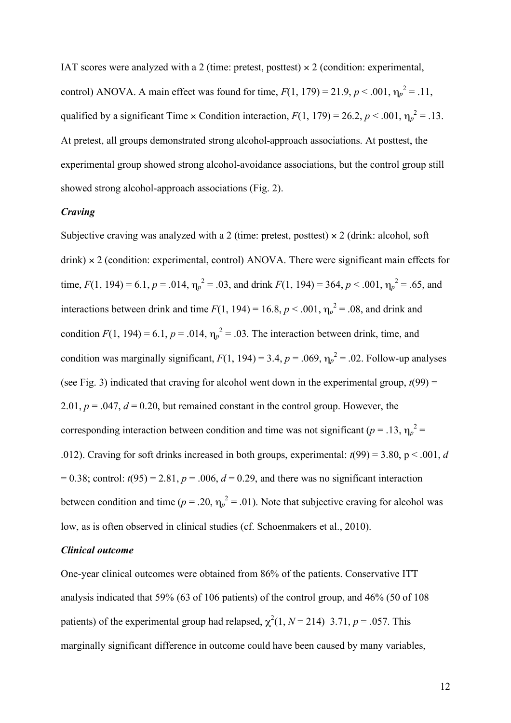IAT scores were analyzed with a 2 (time: pretest, posttest)  $\times$  2 (condition: experimental, control) ANOVA. A main effect was found for time,  $F(1, 179) = 21.9, p < .001, \eta_p^2 = .11,$ qualified by a significant Time  $\times$  Condition interaction,  $F(1, 179) = 26.2, p < .001, \eta_p^2 = .13$ . At pretest, all groups demonstrated strong alcohol-approach associations. At posttest, the experimental group showed strong alcohol-avoidance associations, but the control group still showed strong alcohol-approach associations (Fig. 2).

### *Craving*

Subjective craving was analyzed with a 2 (time: pretest, posttest)  $\times$  2 (drink: alcohol, soft drink) × 2 (condition: experimental, control) ANOVA. There were significant main effects for time,  $F(1, 194) = 6.1$ ,  $p = .014$ ,  $\eta_p^2 = .03$ , and drink  $F(1, 194) = 364$ ,  $p < .001$ ,  $\eta_p^2 = .65$ , and interactions between drink and time  $F(1, 194) = 16.8, p < .001, \eta_p^2 = .08$ , and drink and condition  $F(1, 194) = 6.1$ ,  $p = .014$ ,  $\eta_p^2 = .03$ . The interaction between drink, time, and condition was marginally significant,  $F(1, 194) = 3.4$ ,  $p = .069$ ,  $\eta_p^2 = .02$ . Follow-up analyses (see Fig. 3) indicated that craving for alcohol went down in the experimental group,  $t(99)$  = 2.01,  $p = 0.047$ ,  $d = 0.20$ , but remained constant in the control group. However, the corresponding interaction between condition and time was not significant ( $p = .13$ ,  $\eta_p^2 =$ .012). Craving for soft drinks increased in both groups, experimental:  $t(99) = 3.80$ ,  $p < .001$ , *d*  $= 0.38$ ; control:  $t(95) = 2.81$ ,  $p = .006$ ,  $d = 0.29$ , and there was no significant interaction between condition and time ( $p = 0.20$ ,  $\eta_p^2 = 0.01$ ). Note that subjective craving for alcohol was low, as is often observed in clinical studies (cf. Schoenmakers et al., 2010).

### *Clinical outcome*

One-year clinical outcomes were obtained from 86% of the patients. Conservative ITT analysis indicated that 59% (63 of 106 patients) of the control group, and 46% (50 of 108 patients) of the experimental group had relapsed,  $\chi^2(1, N = 214)$  3.71,  $p = .057$ . This marginally significant difference in outcome could have been caused by many variables,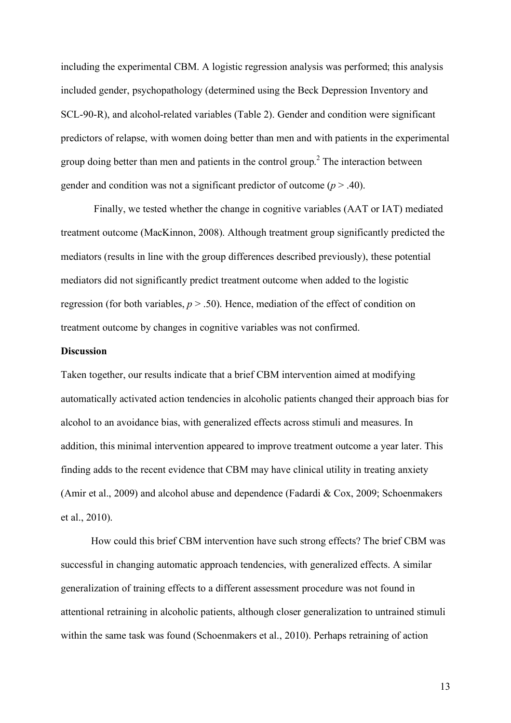including the experimental CBM. A logistic regression analysis was performed; this analysis included gender, psychopathology (determined using the Beck Depression Inventory and SCL-90-R), and alcohol-related variables (Table 2). Gender and condition were significant predictors of relapse, with women doing better than men and with patients in the experimental group doing better than men and patients in the control group.<sup>2</sup> The interaction between gender and condition was not a significant predictor of outcome (*p* > .40).

 Finally, we tested whether the change in cognitive variables (AAT or IAT) mediated treatment outcome (MacKinnon, 2008). Although treatment group significantly predicted the mediators (results in line with the group differences described previously), these potential mediators did not significantly predict treatment outcome when added to the logistic regression (for both variables,  $p > .50$ ). Hence, mediation of the effect of condition on treatment outcome by changes in cognitive variables was not confirmed.

#### **Discussion**

Taken together, our results indicate that a brief CBM intervention aimed at modifying automatically activated action tendencies in alcoholic patients changed their approach bias for alcohol to an avoidance bias, with generalized effects across stimuli and measures. In addition, this minimal intervention appeared to improve treatment outcome a year later. This finding adds to the recent evidence that CBM may have clinical utility in treating anxiety (Amir et al., 2009) and alcohol abuse and dependence (Fadardi & Cox, 2009; Schoenmakers et al., 2010).

How could this brief CBM intervention have such strong effects? The brief CBM was successful in changing automatic approach tendencies, with generalized effects. A similar generalization of training effects to a different assessment procedure was not found in attentional retraining in alcoholic patients, although closer generalization to untrained stimuli within the same task was found (Schoenmakers et al., 2010). Perhaps retraining of action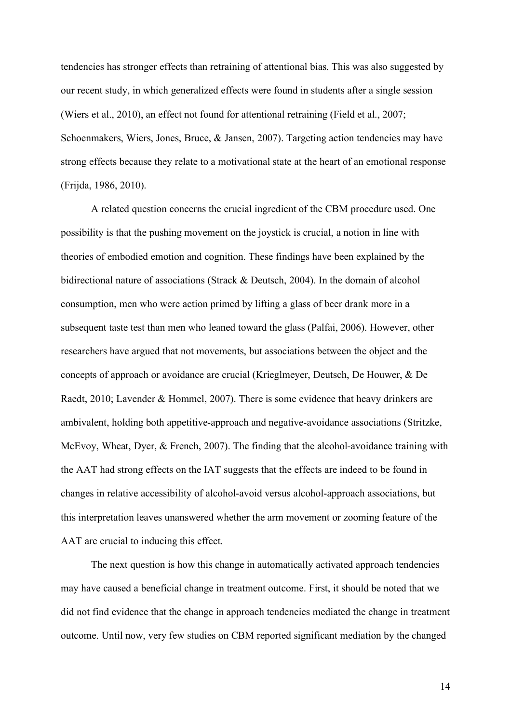tendencies has stronger effects than retraining of attentional bias. This was also suggested by our recent study, in which generalized effects were found in students after a single session (Wiers et al., 2010), an effect not found for attentional retraining (Field et al., 2007; Schoenmakers, Wiers, Jones, Bruce, & Jansen, 2007). Targeting action tendencies may have strong effects because they relate to a motivational state at the heart of an emotional response (Frijda, 1986, 2010).

A related question concerns the crucial ingredient of the CBM procedure used. One possibility is that the pushing movement on the joystick is crucial, a notion in line with theories of embodied emotion and cognition. These findings have been explained by the bidirectional nature of associations (Strack & Deutsch, 2004). In the domain of alcohol consumption, men who were action primed by lifting a glass of beer drank more in a subsequent taste test than men who leaned toward the glass (Palfai, 2006). However, other researchers have argued that not movements, but associations between the object and the concepts of approach or avoidance are crucial (Krieglmeyer, Deutsch, De Houwer, & De Raedt, 2010; Lavender & Hommel, 2007). There is some evidence that heavy drinkers are ambivalent, holding both appetitive-approach and negative-avoidance associations (Stritzke, McEvoy, Wheat, Dyer, & French, 2007). The finding that the alcohol-avoidance training with the AAT had strong effects on the IAT suggests that the effects are indeed to be found in changes in relative accessibility of alcohol-avoid versus alcohol-approach associations, but this interpretation leaves unanswered whether the arm movement or zooming feature of the AAT are crucial to inducing this effect.

The next question is how this change in automatically activated approach tendencies may have caused a beneficial change in treatment outcome. First, it should be noted that we did not find evidence that the change in approach tendencies mediated the change in treatment outcome. Until now, very few studies on CBM reported significant mediation by the changed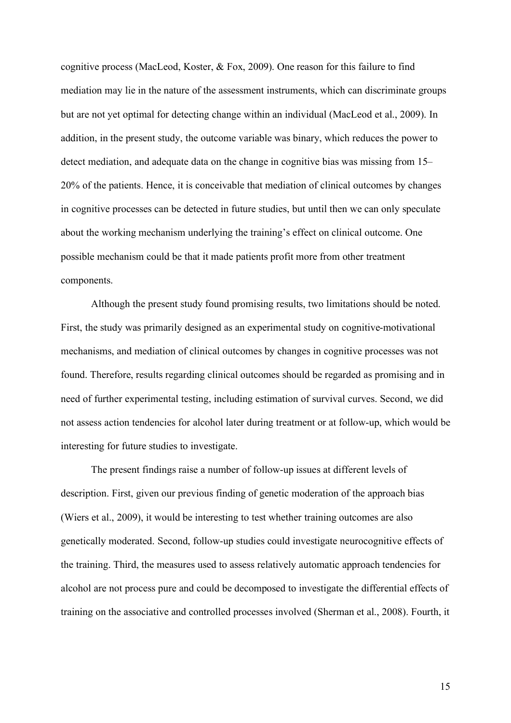cognitive process (MacLeod, Koster, & Fox, 2009). One reason for this failure to find mediation may lie in the nature of the assessment instruments, which can discriminate groups but are not yet optimal for detecting change within an individual (MacLeod et al., 2009). In addition, in the present study, the outcome variable was binary, which reduces the power to detect mediation, and adequate data on the change in cognitive bias was missing from 15– 20% of the patients. Hence, it is conceivable that mediation of clinical outcomes by changes in cognitive processes can be detected in future studies, but until then we can only speculate about the working mechanism underlying the training's effect on clinical outcome. One possible mechanism could be that it made patients profit more from other treatment components.

Although the present study found promising results, two limitations should be noted. First, the study was primarily designed as an experimental study on cognitive-motivational mechanisms, and mediation of clinical outcomes by changes in cognitive processes was not found. Therefore, results regarding clinical outcomes should be regarded as promising and in need of further experimental testing, including estimation of survival curves. Second, we did not assess action tendencies for alcohol later during treatment or at follow-up, which would be interesting for future studies to investigate.

The present findings raise a number of follow-up issues at different levels of description. First, given our previous finding of genetic moderation of the approach bias (Wiers et al., 2009), it would be interesting to test whether training outcomes are also genetically moderated. Second, follow-up studies could investigate neurocognitive effects of the training. Third, the measures used to assess relatively automatic approach tendencies for alcohol are not process pure and could be decomposed to investigate the differential effects of training on the associative and controlled processes involved (Sherman et al., 2008). Fourth, it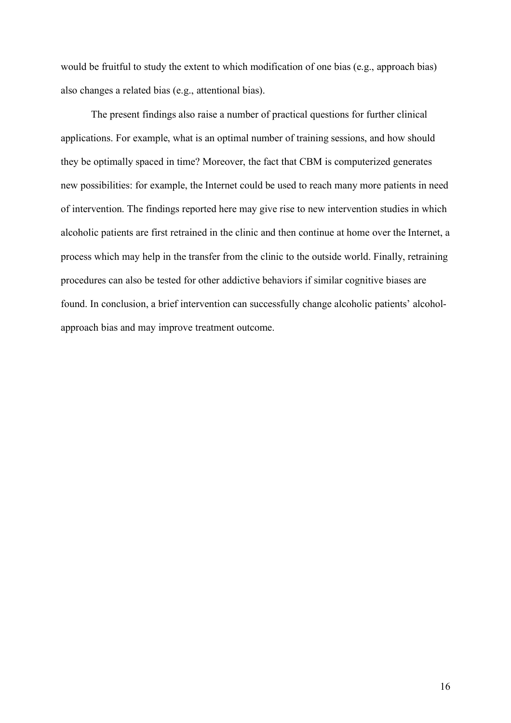would be fruitful to study the extent to which modification of one bias (e.g., approach bias) also changes a related bias (e.g., attentional bias).

The present findings also raise a number of practical questions for further clinical applications. For example, what is an optimal number of training sessions, and how should they be optimally spaced in time? Moreover, the fact that CBM is computerized generates new possibilities: for example, the Internet could be used to reach many more patients in need of intervention. The findings reported here may give rise to new intervention studies in which alcoholic patients are first retrained in the clinic and then continue at home over the Internet, a process which may help in the transfer from the clinic to the outside world. Finally, retraining procedures can also be tested for other addictive behaviors if similar cognitive biases are found. In conclusion, a brief intervention can successfully change alcoholic patients' alcoholapproach bias and may improve treatment outcome.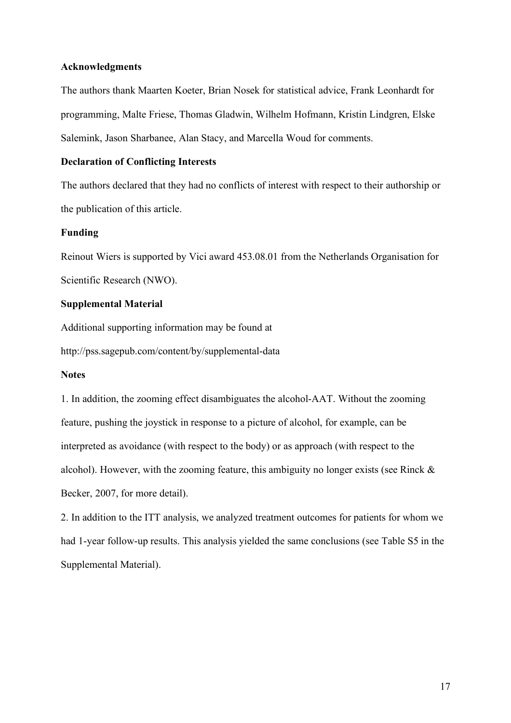### **Acknowledgments**

The authors thank Maarten Koeter, Brian Nosek for statistical advice, Frank Leonhardt for programming, Malte Friese, Thomas Gladwin, Wilhelm Hofmann, Kristin Lindgren, Elske Salemink, Jason Sharbanee, Alan Stacy, and Marcella Woud for comments.

### **Declaration of Conflicting Interests**

The authors declared that they had no conflicts of interest with respect to their authorship or the publication of this article.

## **Funding**

Reinout Wiers is supported by Vici award 453.08.01 from the Netherlands Organisation for Scientific Research (NWO).

### **Supplemental Material**

Additional supporting information may be found at

http://pss.sagepub.com/content/by/supplemental-data

### **Notes**

1. In addition, the zooming effect disambiguates the alcohol-AAT. Without the zooming feature, pushing the joystick in response to a picture of alcohol, for example, can be interpreted as avoidance (with respect to the body) or as approach (with respect to the alcohol). However, with the zooming feature, this ambiguity no longer exists (see Rinck  $\&$ Becker, 2007, for more detail).

2. In addition to the ITT analysis, we analyzed treatment outcomes for patients for whom we had 1-year follow-up results. This analysis yielded the same conclusions (see Table S5 in the Supplemental Material).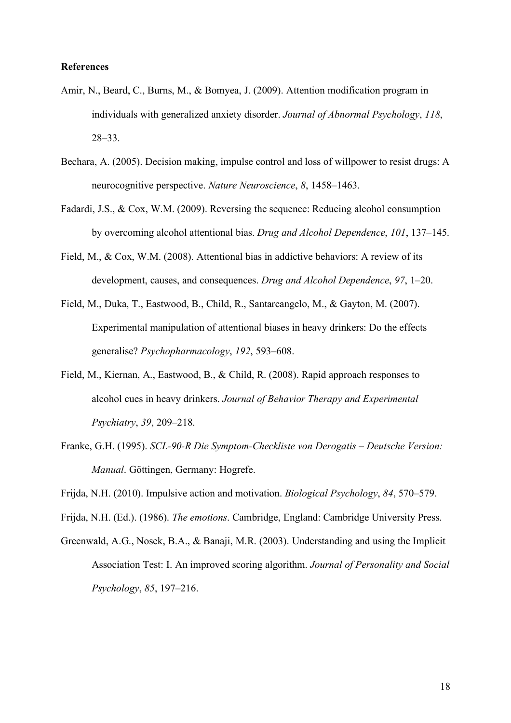### **References**

- Amir, N., Beard, C., Burns, M., & Bomyea, J. (2009). Attention modification program in individuals with generalized anxiety disorder. *Journal of Abnormal Psychology*, *118*, 28–33.
- Bechara, A. (2005). Decision making, impulse control and loss of willpower to resist drugs: A neurocognitive perspective. *Nature Neuroscience*, *8*, 1458–1463.
- Fadardi, J.S., & Cox, W.M. (2009). Reversing the sequence: Reducing alcohol consumption by overcoming alcohol attentional bias. *Drug and Alcohol Dependence*, *101*, 137–145.
- Field, M., & Cox, W.M. (2008). Attentional bias in addictive behaviors: A review of its development, causes, and consequences. *Drug and Alcohol Dependence*, *97*, 1–20.
- Field, M., Duka, T., Eastwood, B., Child, R., Santarcangelo, M., & Gayton, M. (2007). Experimental manipulation of attentional biases in heavy drinkers: Do the effects generalise? *Psychopharmacology*, *192*, 593–608.
- Field, M., Kiernan, A., Eastwood, B., & Child, R. (2008). Rapid approach responses to alcohol cues in heavy drinkers. *Journal of Behavior Therapy and Experimental Psychiatry*, *39*, 209–218.
- Franke, G.H. (1995). *SCL-90-R Die Symptom-Checkliste von Derogatis Deutsche Version: Manual*. Göttingen, Germany: Hogrefe.

Frijda, N.H. (2010). Impulsive action and motivation. *Biological Psychology*, *84*, 570–579.

Frijda, N.H. (Ed.). (1986). *The emotions*. Cambridge, England: Cambridge University Press.

Greenwald, A.G., Nosek, B.A., & Banaji, M.R. (2003). Understanding and using the Implicit Association Test: I. An improved scoring algorithm. *Journal of Personality and Social Psychology*, *85*, 197–216.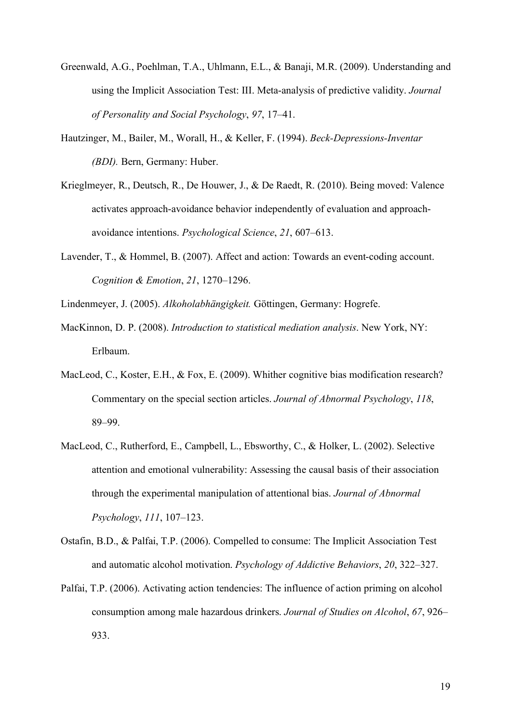- Greenwald, A.G., Poehlman, T.A., Uhlmann, E.L., & Banaji, M.R. (2009). Understanding and using the Implicit Association Test: III. Meta-analysis of predictive validity. *Journal of Personality and Social Psychology*, *97*, 17–41.
- Hautzinger, M., Bailer, M., Worall, H., & Keller, F. (1994). *Beck-Depressions-Inventar (BDI).* Bern, Germany: Huber.
- Krieglmeyer, R., Deutsch, R., De Houwer, J., & De Raedt, R. (2010). Being moved: Valence activates approach-avoidance behavior independently of evaluation and approachavoidance intentions. *Psychological Science*, *21*, 607–613.
- Lavender, T., & Hommel, B. (2007). Affect and action: Towards an event-coding account. *Cognition & Emotion*, *21*, 1270–1296.
- Lindenmeyer, J. (2005). *Alkoholabhängigkeit.* Göttingen, Germany: Hogrefe.
- MacKinnon, D. P. (2008). *Introduction to statistical mediation analysis*. New York, NY: Erlbaum.
- MacLeod, C., Koster, E.H., & Fox, E. (2009). Whither cognitive bias modification research? Commentary on the special section articles. *Journal of Abnormal Psychology*, *118*, 89–99.
- MacLeod, C., Rutherford, E., Campbell, L., Ebsworthy, C., & Holker, L. (2002). Selective attention and emotional vulnerability: Assessing the causal basis of their association through the experimental manipulation of attentional bias. *Journal of Abnormal Psychology*, *111*, 107–123.
- Ostafin, B.D., & Palfai, T.P. (2006). Compelled to consume: The Implicit Association Test and automatic alcohol motivation. *Psychology of Addictive Behaviors*, *20*, 322–327.
- Palfai, T.P. (2006). Activating action tendencies: The influence of action priming on alcohol consumption among male hazardous drinkers. *Journal of Studies on Alcohol*, *67*, 926– 933.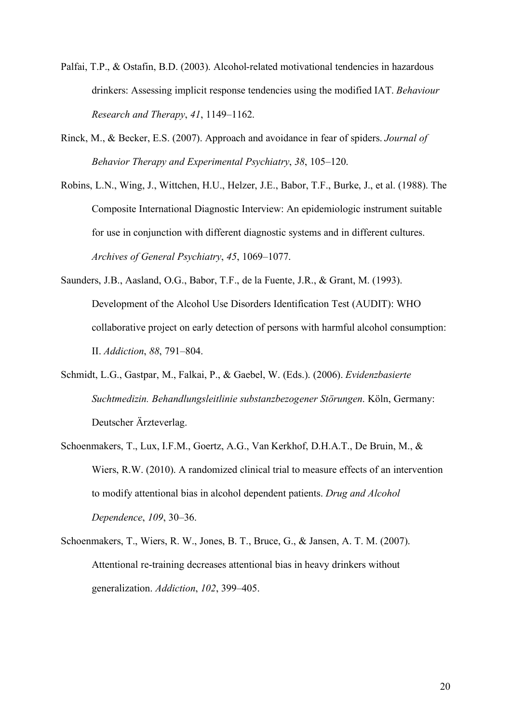- Palfai, T.P., & Ostafin, B.D. (2003). Alcohol-related motivational tendencies in hazardous drinkers: Assessing implicit response tendencies using the modified IAT. *Behaviour Research and Therapy*, *41*, 1149–1162.
- Rinck, M., & Becker, E.S. (2007). Approach and avoidance in fear of spiders. *Journal of Behavior Therapy and Experimental Psychiatry*, *38*, 105–120.
- Robins, L.N., Wing, J., Wittchen, H.U., Helzer, J.E., Babor, T.F., Burke, J., et al. (1988). The Composite International Diagnostic Interview: An epidemiologic instrument suitable for use in conjunction with different diagnostic systems and in different cultures. *Archives of General Psychiatry*, *45*, 1069–1077.
- Saunders, J.B., Aasland, O.G., Babor, T.F., de la Fuente, J.R., & Grant, M. (1993). Development of the Alcohol Use Disorders Identification Test (AUDIT): WHO collaborative project on early detection of persons with harmful alcohol consumption: II. *Addiction*, *88*, 791–804.
- Schmidt, L.G., Gastpar, M., Falkai, P., & Gaebel, W. (Eds.). (2006). *Evidenzbasierte Suchtmedizin. Behandlungsleitlinie substanzbezogener Störungen*. Köln, Germany: Deutscher Ärzteverlag.
- Schoenmakers, T., Lux, I.F.M., Goertz, A.G., Van Kerkhof, D.H.A.T., De Bruin, M., & Wiers, R.W. (2010). A randomized clinical trial to measure effects of an intervention to modify attentional bias in alcohol dependent patients. *Drug and Alcohol Dependence*, *109*, 30–36.
- Schoenmakers, T., Wiers, R. W., Jones, B. T., Bruce, G., & Jansen, A. T. M. (2007). Attentional re-training decreases attentional bias in heavy drinkers without generalization. *Addiction*, *102*, 399–405.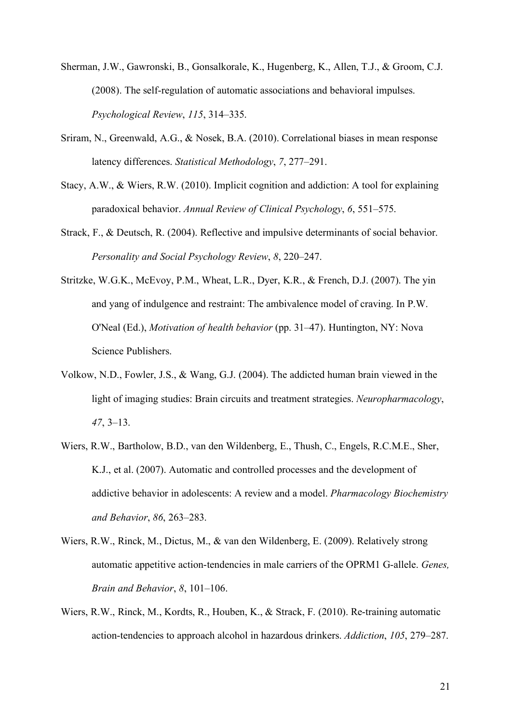- Sherman, J.W., Gawronski, B., Gonsalkorale, K., Hugenberg, K., Allen, T.J., & Groom, C.J. (2008). The self-regulation of automatic associations and behavioral impulses. *Psychological Review*, *115*, 314–335.
- Sriram, N., Greenwald, A.G., & Nosek, B.A. (2010). Correlational biases in mean response latency differences. *Statistical Methodology*, *7*, 277–291.
- Stacy, A.W., & Wiers, R.W. (2010). Implicit cognition and addiction: A tool for explaining paradoxical behavior. *Annual Review of Clinical Psychology*, *6*, 551–575.
- Strack, F., & Deutsch, R. (2004). Reflective and impulsive determinants of social behavior. *Personality and Social Psychology Review*, *8*, 220–247.
- Stritzke, W.G.K., McEvoy, P.M., Wheat, L.R., Dyer, K.R., & French, D.J. (2007). The yin and yang of indulgence and restraint: The ambivalence model of craving. In P.W. O'Neal (Ed.), *Motivation of health behavior* (pp. 31–47). Huntington, NY: Nova Science Publishers.
- Volkow, N.D., Fowler, J.S., & Wang, G.J. (2004). The addicted human brain viewed in the light of imaging studies: Brain circuits and treatment strategies. *Neuropharmacology*, *47*, 3–13.
- Wiers, R.W., Bartholow, B.D., van den Wildenberg, E., Thush, C., Engels, R.C.M.E., Sher, K.J., et al. (2007). Automatic and controlled processes and the development of addictive behavior in adolescents: A review and a model. *Pharmacology Biochemistry and Behavior*, *86*, 263–283.
- Wiers, R.W., Rinck, M., Dictus, M., & van den Wildenberg, E. (2009). Relatively strong automatic appetitive action-tendencies in male carriers of the OPRM1 G-allele. *Genes, Brain and Behavior*, *8*, 101–106.
- Wiers, R.W., Rinck, M., Kordts, R., Houben, K., & Strack, F. (2010). Re-training automatic action-tendencies to approach alcohol in hazardous drinkers. *Addiction*, *105*, 279–287.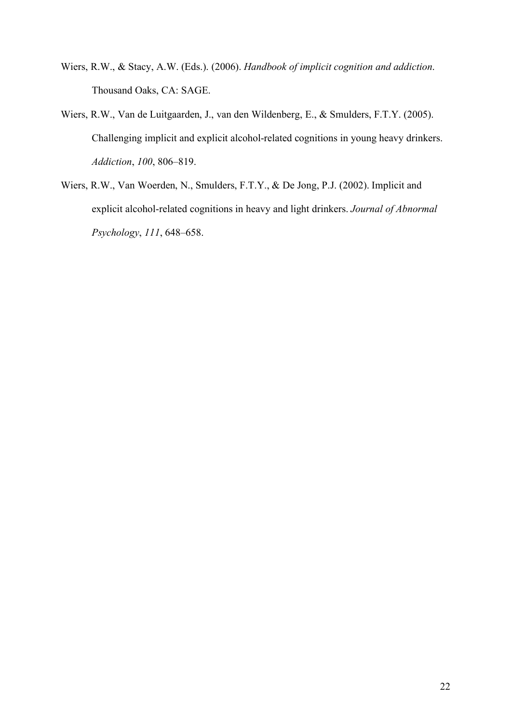- Wiers, R.W., & Stacy, A.W. (Eds.). (2006). *Handbook of implicit cognition and addiction*. Thousand Oaks, CA: SAGE.
- Wiers, R.W., Van de Luitgaarden, J., van den Wildenberg, E., & Smulders, F.T.Y. (2005). Challenging implicit and explicit alcohol-related cognitions in young heavy drinkers. *Addiction*, *100*, 806–819.
- Wiers, R.W., Van Woerden, N., Smulders, F.T.Y., & De Jong, P.J. (2002). Implicit and explicit alcohol-related cognitions in heavy and light drinkers. *Journal of Abnormal Psychology*, *111*, 648–658.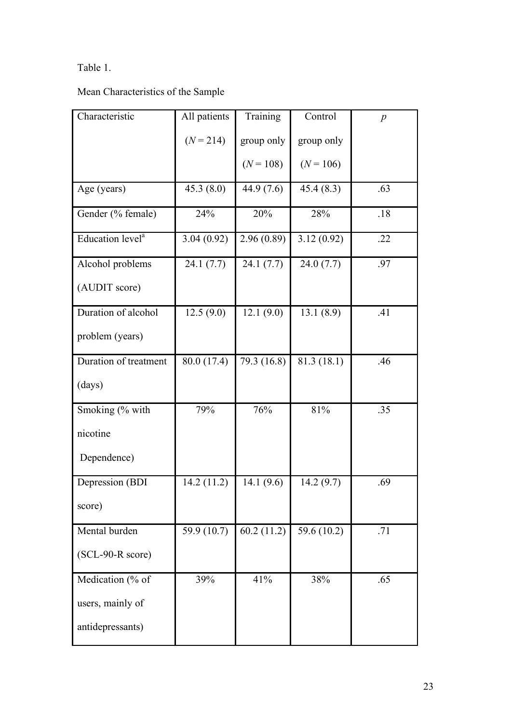# Table 1.

Mean Characteristics of the Sample

| Characteristic               | All patients | Training    | Control     | $\boldsymbol{p}$ |
|------------------------------|--------------|-------------|-------------|------------------|
|                              | $(N = 214)$  | group only  | group only  |                  |
|                              |              | $(N = 108)$ | $(N = 106)$ |                  |
| Age (years)                  | 45.3(8.0)    | 44.9 (7.6)  | 45.4(8.3)   | .63              |
| Gender (% female)            | 24%          | 20%         | 28%         | .18              |
| Education level <sup>a</sup> | 3.04(0.92)   | 2.96(0.89)  | 3.12(0.92)  | .22              |
| Alcohol problems             | 24.1(7.7)    | 24.1(7.7)   | 24.0(7.7)   | .97              |
| (AUDIT score)                |              |             |             |                  |
| Duration of alcohol          | 12.5(9.0)    | 12.1(9.0)   | 13.1(8.9)   | .41              |
| problem (years)              |              |             |             |                  |
| Duration of treatment        | 80.0 (17.4)  | 79.3 (16.8) | 81.3 (18.1) | .46              |
| (days)                       |              |             |             |                  |
| Smoking (% with              | 79%          | 76%         | 81%         | .35              |
| nicotine                     |              |             |             |                  |
| Dependence)                  |              |             |             |                  |
| Depression (BDI              | 14.2(11.2)   | 14.1(9.6)   | 14.2(9.7)   | .69              |
| score)                       |              |             |             |                  |
| Mental burden                | 59.9 (10.7)  | 60.2(11.2)  | 59.6 (10.2) | .71              |
| $(SCL-90-R score)$           |              |             |             |                  |
| Medication (% of             | 39%          | 41%         | 38%         | .65              |
| users, mainly of             |              |             |             |                  |
| antidepressants)             |              |             |             |                  |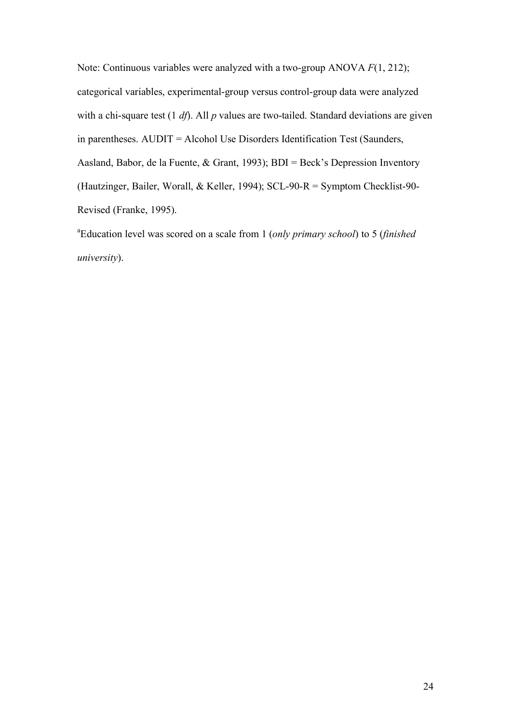Note: Continuous variables were analyzed with a two-group ANOVA *F*(1, 212); categorical variables, experimental-group versus control-group data were analyzed with a chi-square test (1 *df*). All *p* values are two-tailed. Standard deviations are given in parentheses. AUDIT = Alcohol Use Disorders Identification Test (Saunders, Aasland, Babor, de la Fuente, & Grant, 1993); BDI = Beck's Depression Inventory (Hautzinger, Bailer, Worall, & Keller, 1994); SCL-90-R = Symptom Checklist-90- Revised (Franke, 1995).

a Education level was scored on a scale from 1 (*only primary school*) to 5 (*finished university*).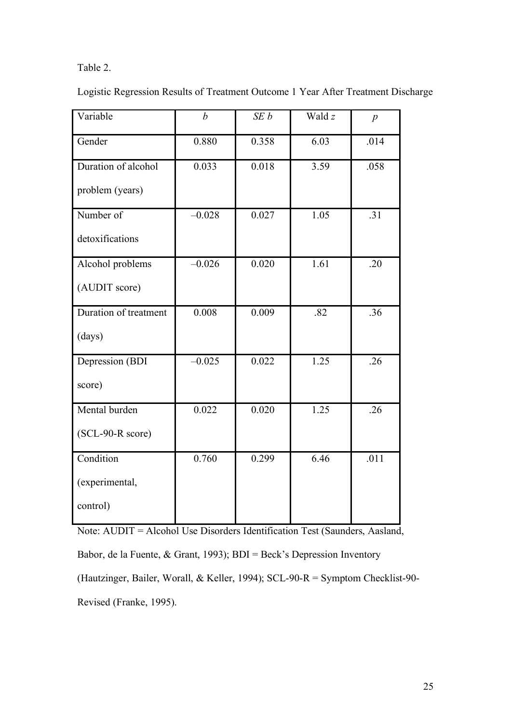# Table 2.

Logistic Regression Results of Treatment Outcome 1 Year After Treatment Discharge

| Variable              | $\boldsymbol{b}$ | SEb   | Wald z | $\boldsymbol{p}$ |
|-----------------------|------------------|-------|--------|------------------|
| Gender                | 0.880            | 0.358 | 6.03   | .014             |
| Duration of alcohol   | 0.033            | 0.018 | 3.59   | .058             |
| problem (years)       |                  |       |        |                  |
| Number of             | $-0.028$         | 0.027 | 1.05   | .31              |
| detoxifications       |                  |       |        |                  |
| Alcohol problems      | $-0.026$         | 0.020 | 1.61   | .20              |
| (AUDIT score)         |                  |       |        |                  |
| Duration of treatment | 0.008            | 0.009 | .82    | .36              |
| (days)                |                  |       |        |                  |
| Depression (BDI       | $-0.025$         | 0.022 | 1.25   | .26              |
| score)                |                  |       |        |                  |
| Mental burden         | 0.022            | 0.020 | 1.25   | .26              |
| (SCL-90-R score)      |                  |       |        |                  |
| Condition             | 0.760            | 0.299 | 6.46   | .011             |
| (experimental,        |                  |       |        |                  |
| control)              |                  |       |        |                  |

Note: AUDIT = Alcohol Use Disorders Identification Test (Saunders, Aasland,

Babor, de la Fuente, & Grant, 1993); BDI = Beck's Depression Inventory

(Hautzinger, Bailer, Worall, & Keller, 1994); SCL-90-R = Symptom Checklist-90- Revised (Franke, 1995).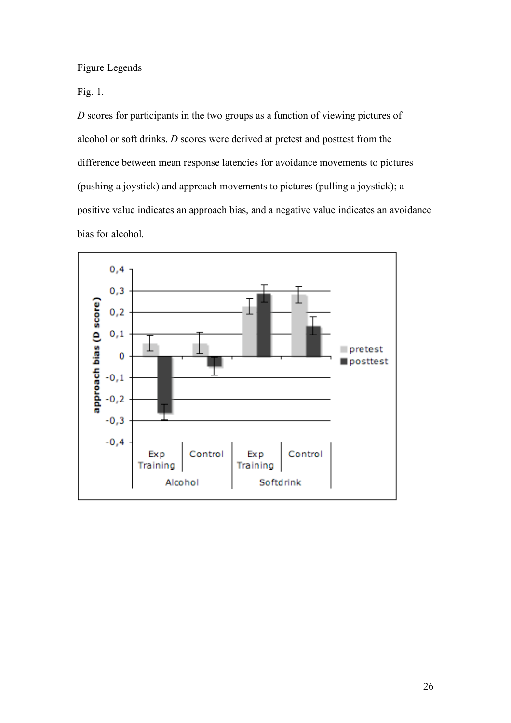Figure Legends

Fig. 1.

*D* scores for participants in the two groups as a function of viewing pictures of alcohol or soft drinks. *D* scores were derived at pretest and posttest from the difference between mean response latencies for avoidance movements to pictures (pushing a joystick) and approach movements to pictures (pulling a joystick); a positive value indicates an approach bias, and a negative value indicates an avoidance bias for alcohol.

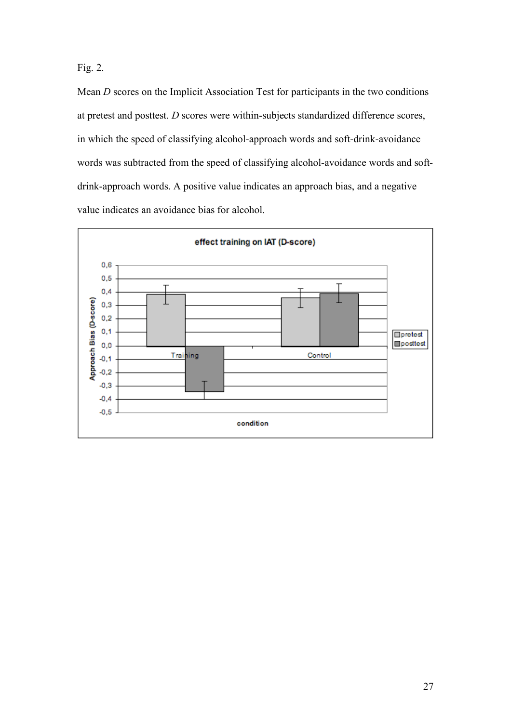Fig. 2.

Mean *D* scores on the Implicit Association Test for participants in the two conditions at pretest and posttest. *D* scores were within-subjects standardized difference scores, in which the speed of classifying alcohol-approach words and soft-drink-avoidance words was subtracted from the speed of classifying alcohol-avoidance words and softdrink-approach words. A positive value indicates an approach bias, and a negative value indicates an avoidance bias for alcohol.